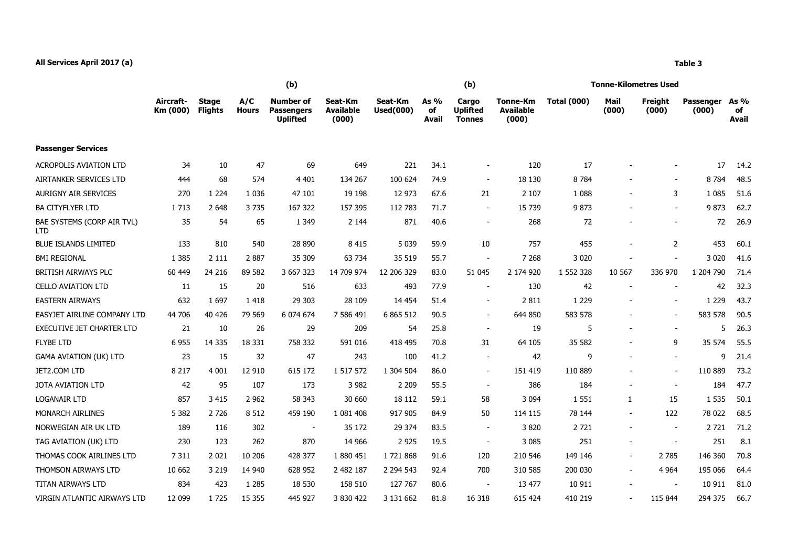## **All Services April 2017 (a) Table 3**

|                                          |                       | (b)                            |                     |                                                          |                                      |                             |                     | (b)                                       |                                       | <b>Tonne-Kilometres Used</b> |                          |                          |                    |                            |  |
|------------------------------------------|-----------------------|--------------------------------|---------------------|----------------------------------------------------------|--------------------------------------|-----------------------------|---------------------|-------------------------------------------|---------------------------------------|------------------------------|--------------------------|--------------------------|--------------------|----------------------------|--|
|                                          | Aircraft-<br>Km (000) | <b>Stage</b><br><b>Flights</b> | A/C<br><b>Hours</b> | <b>Number of</b><br><b>Passengers</b><br><b>Uplifted</b> | Seat-Km<br><b>Available</b><br>(000) | Seat-Km<br><b>Used(000)</b> | As %<br>оf<br>Avail | Cargo<br><b>Uplifted</b><br><b>Tonnes</b> | Tonne-Km<br><b>Available</b><br>(000) | <b>Total (000)</b>           | Mail<br>(000)            | Freight<br>(000)         | Passenger<br>(000) | As %<br>of<br><b>Avail</b> |  |
| <b>Passenger Services</b>                |                       |                                |                     |                                                          |                                      |                             |                     |                                           |                                       |                              |                          |                          |                    |                            |  |
| <b>ACROPOLIS AVIATION LTD</b>            | 34                    | 10                             | 47                  | 69                                                       | 649                                  | 221                         | 34.1                | $\overline{\phantom{a}}$                  | 120                                   | 17                           |                          |                          | 17                 | 14.2                       |  |
| AIRTANKER SERVICES LTD                   | 444                   | 68                             | 574                 | 4 4 0 1                                                  | 134 267                              | 100 624                     | 74.9                | $\overline{\phantom{a}}$                  | 18 130                                | 8 7 8 4                      |                          |                          | 8784               | 48.5                       |  |
| AURIGNY AIR SERVICES                     | 270                   | 1 2 2 4                        | 1 0 3 6             | 47 101                                                   | 19 19 8                              | 12 973                      | 67.6                | 21                                        | 2 1 0 7                               | 1 0 8 8                      |                          | 3                        | 1 0 8 5            | 51.6                       |  |
| BA CITYFLYER LTD                         | 1713                  | 2 6 4 8                        | 3735                | 167 322                                                  | 157 395                              | 112 783                     | 71.7                | $\overline{\phantom{a}}$                  | 15 7 39                               | 9873                         |                          | $\overline{\phantom{a}}$ | 9873               | 62.7                       |  |
| BAE SYSTEMS (CORP AIR TVL)<br><b>LTD</b> | 35                    | 54                             | 65                  | 1 3 4 9                                                  | 2 1 4 4                              | 871                         | 40.6                | $\sim$                                    | 268                                   | 72                           |                          |                          | 72                 | 26.9                       |  |
| <b>BLUE ISLANDS LIMITED</b>              | 133                   | 810                            | 540                 | 28 890                                                   | 8 4 1 5                              | 5 0 3 9                     | 59.9                | 10                                        | 757                                   | 455                          |                          | $\overline{2}$           | 453                | 60.1                       |  |
| <b>BMI REGIONAL</b>                      | 1 3 8 5               | 2 1 1 1                        | 2887                | 35 309                                                   | 63 734                               | 35 519                      | 55.7                | $\overline{\phantom{a}}$                  | 7 2 6 8                               | 3 0 2 0                      |                          |                          | 3 0 2 0            | 41.6                       |  |
| BRITISH AIRWAYS PLC                      | 60 449                | 24 216                         | 89 582              | 3 667 323                                                | 14 709 974                           | 12 206 329                  | 83.0                | 51 045                                    | 2 174 920                             | 1 552 328                    | 10 567                   | 336 970                  | 1 204 790          | 71.4                       |  |
| <b>CELLO AVIATION LTD</b>                | 11                    | 15                             | 20                  | 516                                                      | 633                                  | 493                         | 77.9                | $\overline{\phantom{a}}$                  | 130                                   | 42                           |                          |                          | 42                 | 32.3                       |  |
| <b>EASTERN AIRWAYS</b>                   | 632                   | 1697                           | 1418                | 29 30 3                                                  | 28 109                               | 14 4 54                     | 51.4                | $\blacksquare$                            | 2 8 1 1                               | 1 2 2 9                      |                          |                          | 1 2 2 9            | 43.7                       |  |
| EASYJET AIRLINE COMPANY LTD              | 44 706                | 40 4 26                        | 79 569              | 6 074 674                                                | 7 586 491                            | 6 865 512                   | 90.5                | $\sim$                                    | 644 850                               | 583 578                      |                          | $\sim$                   | 583 578            | 90.5                       |  |
| <b>EXECUTIVE JET CHARTER LTD</b>         | 21                    | 10                             | 26                  | 29                                                       | 209                                  | 54                          | 25.8                | $\overline{\phantom{a}}$                  | 19                                    | 5                            |                          |                          |                    | 5<br>26.3                  |  |
| <b>FLYBE LTD</b>                         | 6 9 5 5               | 14 3 35                        | 18 3 31             | 758 332                                                  | 591 016                              | 418 495                     | 70.8                | 31                                        | 64 105                                | 35 582                       |                          | 9                        | 35 574             | 55.5                       |  |
| <b>GAMA AVIATION (UK) LTD</b>            | 23                    | 15                             | 32                  | 47                                                       | 243                                  | 100                         | 41.2                | $\overline{\phantom{a}}$                  | 42                                    | 9                            |                          |                          |                    | 9<br>21.4                  |  |
| JET2.COM LTD                             | 8 2 1 7               | 4 0 0 1                        | 12 910              | 615 172                                                  | 1 517 572                            | 1 304 504                   | 86.0                | $\sim$                                    | 151 419                               | 110 889                      |                          |                          | 110 889            | 73.2                       |  |
| <b>JOTA AVIATION LTD</b>                 | 42                    | 95                             | 107                 | 173                                                      | 3 9 8 2                              | 2 2 0 9                     | 55.5                | $\overline{\phantom{a}}$                  | 386                                   | 184                          |                          |                          | 184                | 47.7                       |  |
| <b>LOGANAIR LTD</b>                      | 857                   | 3 4 1 5                        | 2 9 6 2             | 58 343                                                   | 30 660                               | 18 112                      | 59.1                | 58                                        | 3 0 9 4                               | 1 5 5 1                      | 1                        | 15                       | 1 5 3 5            | 50.1                       |  |
| <b>MONARCH AIRLINES</b>                  | 5 3 8 2               | 2 7 2 6                        | 8 5 1 2             | 459 190                                                  | 1 081 408                            | 917 905                     | 84.9                | 50                                        | 114 115                               | 78 144                       |                          | 122                      | 78 022             | 68.5                       |  |
| NORWEGIAN AIR UK LTD                     | 189                   | 116                            | 302                 | $\sim$                                                   | 35 172                               | 29 374                      | 83.5                | $\sim$                                    | 3820                                  | 2 7 2 1                      |                          |                          | 2721               | 71.2                       |  |
| TAG AVIATION (UK) LTD                    | 230                   | 123                            | 262                 | 870                                                      | 14 9 66                              | 2 9 2 5                     | 19.5                | $\blacksquare$                            | 3 0 8 5                               | 251                          | $\overline{\phantom{a}}$ |                          | 251                | 8.1                        |  |
| THOMAS COOK AIRLINES LTD                 | 7 3 1 1               | 2 0 2 1                        | 10 20 6             | 428 377                                                  | 1880 451                             | 1721868                     | 91.6                | 120                                       | 210 546                               | 149 146                      | $\overline{\phantom{a}}$ | 2 7 8 5                  | 146 360            | 70.8                       |  |
| THOMSON AIRWAYS LTD                      | 10 662                | 3 2 1 9                        | 14 940              | 628 952                                                  | 2 482 187                            | 2 2 9 4 5 4 3               | 92.4                | 700                                       | 310 585                               | 200 030                      | $\blacksquare$           | 4 9 64                   | 195 066            | 64.4                       |  |
| TITAN AIRWAYS LTD                        | 834                   | 423                            | 1 2 8 5             | 18 530                                                   | 158 510                              | 127 767                     | 80.6                | $\overline{\phantom{a}}$                  | 13 477                                | 10 911                       |                          |                          | 10 911             | 81.0                       |  |
| VIRGIN ATLANTIC AIRWAYS LTD              | 12 099                | 1725                           | 15 3 55             | 445 927                                                  | 3 830 422                            | 3 131 662                   | 81.8                | 16 318                                    | 615 424                               | 410 219                      |                          | 115 844                  | 294 375            | 66.7                       |  |